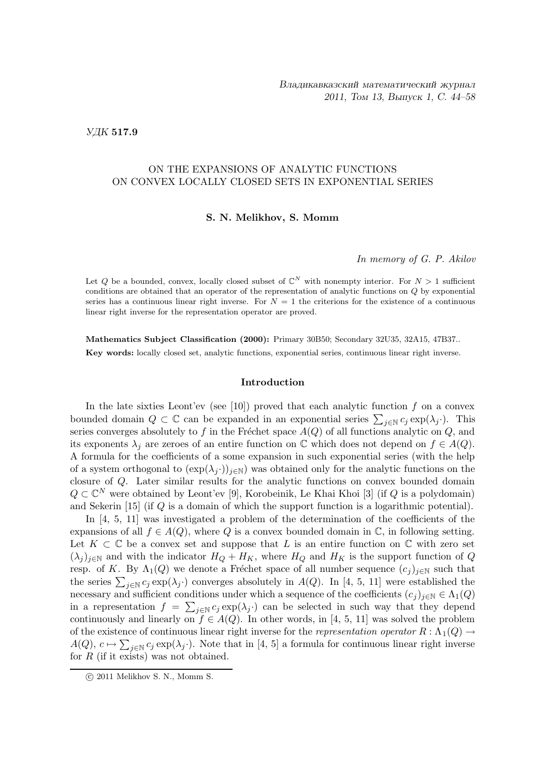УДК 517.9

## ON THE EXPANSIONS OF ANALYTIC FUNCTIONS ON CONVEX LOCALLY CLOSED SETS IN EXPONENTIAL SERIES

### S. N. Melikhov, S. Momm

In memory of G. P. Akilov

Let Q be a bounded, convex, locally closed subset of  $\mathbb{C}^N$  with nonempty interior. For  $N > 1$  sufficient conditions are obtained that an operator of the representation of analytic functions on Q by exponential series has a continuous linear right inverse. For  $N = 1$  the criterions for the existence of a continuous linear right inverse for the representation operator are proved.

Mathematics Subject Classification (2000): Primary 30B50; Secondary 32U35, 32A15, 47B37.. Key words: locally closed set, analytic functions, exponential series, continuous linear right inverse.

#### Introduction

In the late sixties Leont'ev (see [10]) proved that each analytic function  $f$  on a convex bounded domain  $Q \subset \mathbb{C}$  can be expanded in an exponential series  $\sum_{j\in\mathbb{N}} c_j \exp(\lambda_j \cdot)$ . This series converges absolutely to f in the Fréchet space  $A(Q)$  of all functions analytic on Q, and its exponents  $\lambda_j$  are zeroes of an entire function on  $\mathbb C$  which does not depend on  $f \in A(Q)$ . A formula for the coefficients of a some expansion in such exponential series (with the help of a system orthogonal to  $(\exp(\lambda_i \cdot))_{i\in\mathbb{N}}$  was obtained only for the analytic functions on the closure of Q. Later similar results for the analytic functions on convex bounded domain  $Q \subset \mathbb{C}^N$  were obtained by Leont'ev [9], Korobeinik, Le Khai Khoi [3] (if Q is a polydomain) and Sekerin [15] (if Q is a domain of which the support function is a logarithmic potential).

In [4, 5, 11] was investigated a problem of the determination of the coefficients of the expansions of all  $f \in A(Q)$ , where Q is a convex bounded domain in  $\mathbb{C}$ , in following setting. Let  $K \subset \mathbb{C}$  be a convex set and suppose that L is an entire function on  $\mathbb{C}$  with zero set  $(\lambda_j)_{j\in\mathbb{N}}$  and with the indicator  $H_Q + H_K$ , where  $H_Q$  and  $H_K$  is the support function of Q resp. of K. By  $\Lambda_1(Q)$  we denote a Fréchet space of all number sequence  $(c_j)_{j\in\mathbb{N}}$  such that the series  $\sum_{j\in\mathbb{N}}c_j\exp(\lambda_j\cdot)$  converges absolutely in  $A(Q)$ . In [4, 5, 11] were established the necessary and sufficient conditions under which a sequence of the coefficients  $(c_j)_{j\in\mathbb{N}} \in \Lambda_1(Q)$ in a representation  $f = \sum_{j \in \mathbb{N}} c_j \exp(\lambda_j \cdot)$  can be selected in such way that they depend continuously and linearly on  $f \in A(Q)$ . In other words, in [4, 5, 11] was solved the problem of the existence of continuous linear right inverse for the representation operator  $R : \Lambda_1(Q) \to$  $A(Q)$ ,  $c \mapsto \sum_{j\in\mathbb{N}} c_j \exp(\lambda_j \cdot)$ . Note that in [4, 5] a formula for continuous linear right inverse for  $R$  (if it exists) was not obtained.

c 2011 Melikhov S. N., Momm S.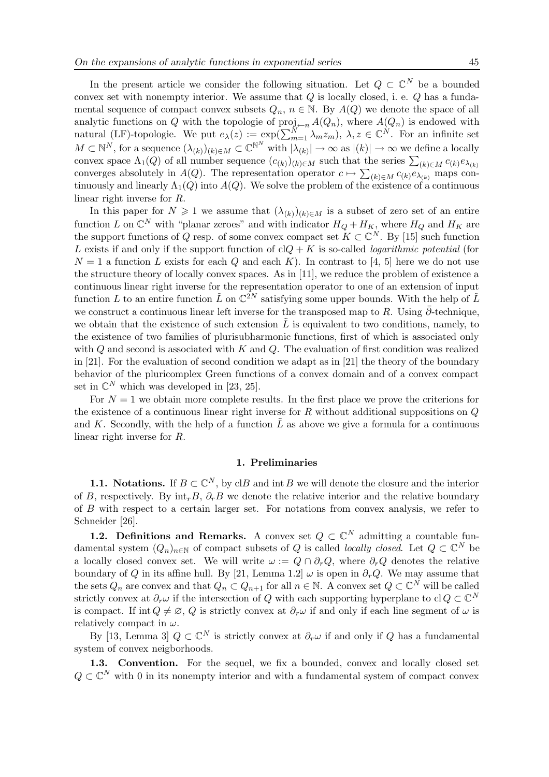In the present article we consider the following situation. Let  $Q \subset \mathbb{C}^N$  be a bounded convex set with nonempty interior. We assume that  $Q$  is locally closed, i. e.  $Q$  has a fundamental sequence of compact convex subsets  $Q_n$ ,  $n \in \mathbb{N}$ . By  $A(Q)$  we denote the space of all analytic functions on Q with the topologie of  $\text{proj}_{\leftarrow n} A(Q_n)$ , where  $A(Q_n)$  is endowed with natural (LF)-topologie. We put  $e_{\lambda}(z) := \exp(\sum_{m=1}^{N} \lambda_m z_m)$ ,  $\lambda, z \in \mathbb{C}^N$ . For an infinite set  $M \subset \mathbb{N}^N$ , for a sequence  $(\lambda_{(k)})_{(k) \in M} \subset \mathbb{C}^{\mathbb{N}^N}$  with  $|\lambda_{(k)}| \to \infty$  as  $|(k)| \to \infty$  we define a locally convex space  $\Lambda_1(Q)$  of all number sequence  $(c_{(k)})_{(k)\in M}$  such that the series  $\sum_{(k)\in M} c_{(k)}e_{\lambda_{(k)}}$ converges absolutely in  $A(Q)$ . The representation operator  $c \mapsto \sum_{(k) \in M} c_{(k)} e_{\lambda_{(k)}}$  maps continuously and linearly  $\Lambda_1(Q)$  into  $A(Q)$ . We solve the problem of the existence of a continuous linear right inverse for R.

In this paper for  $N \geq 1$  we assume that  $(\lambda_{(k)})_{(k)\in M}$  is a subset of zero set of an entire function L on  $\mathbb{C}^N$  with "planar zeroes" and with indicator  $H_Q + H_K$ , where  $H_Q$  and  $H_K$  are the support functions of Q resp. of some convex compact set  $K \subset \mathbb{C}^N$ . By [15] such function L exists if and only if the support function of  $clQ + K$  is so-called *logarithmic potential* (for  $N = 1$  a function L exists for each Q and each K). In contrast to [4, 5] here we do not use the structure theory of locally convex spaces. As in [11], we reduce the problem of existence a continuous linear right inverse for the representation operator to one of an extension of input function L to an entire function  $\tilde{L}$  on  $\mathbb{C}^{2N}$  satisfying some upper bounds. With the help of  $\tilde{L}$ we construct a continuous linear left inverse for the transposed map to R. Using  $\bar{\partial}$ -technique, we obtain that the existence of such extension  $L$  is equivalent to two conditions, namely, to the existence of two families of plurisubharmonic functions, first of which is associated only with  $Q$  and second is associated with  $K$  and  $Q$ . The evaluation of first condition was realized in [21]. For the evaluation of second condition we adapt as in [21] the theory of the boundary behavior of the pluricomplex Green functions of a convex domain and of a convex compact set in  $\mathbb{C}^N$  which was developed in [23, 25].

For  $N = 1$  we obtain more complete results. In the first place we prove the criterions for the existence of a continuous linear right inverse for R without additional suppositions on Q and K. Secondly, with the help of a function  $\tilde{L}$  as above we give a formula for a continuous linear right inverse for R.

### 1. Preliminaries

**1.1.** Notations. If  $B \subset \mathbb{C}^N$ , by clB and int B we will denote the closure and the interior of B, respectively. By  $\int \ln r \cdot B$ ,  $\partial_r B$  we denote the relative interior and the relative boundary of B with respect to a certain larger set. For notations from convex analysis, we refer to Schneider [26].

**1.2. Definitions and Remarks.** A convex set  $Q \subset \mathbb{C}^N$  admitting a countable fundamental system  $(Q_n)_{n\in\mathbb{N}}$  of compact subsets of Q is called *locally closed*. Let  $Q \subset \mathbb{C}^N$  be a locally closed convex set. We will write  $\omega := Q \cap \partial_r Q$ , where  $\partial_r Q$  denotes the relative boundary of Q in its affine hull. By [21, Lemma 1.2]  $\omega$  is open in  $\partial_r Q$ . We may assume that the sets  $Q_n$  are convex and that  $Q_n \subset Q_{n+1}$  for all  $n \in \mathbb{N}$ . A convex set  $Q \subset \mathbb{C}^N$  will be called strictly convex at  $\partial_r \omega$  if the intersection of Q with each supporting hyperplane to  $\mathrm{cl} \, Q \subset \mathbb{C}^N$ is compact. If int  $Q \neq \emptyset$ , Q is strictly convex at  $\partial_r \omega$  if and only if each line segment of  $\omega$  is relatively compact in  $\omega$ .

By [13, Lemma 3]  $Q \subset \mathbb{C}^N$  is strictly convex at  $\partial_r \omega$  if and only if Q has a fundamental system of convex neigborhoods.

1.3. Convention. For the sequel, we fix a bounded, convex and locally closed set  $Q \subset \mathbb{C}^N$  with 0 in its nonempty interior and with a fundamental system of compact convex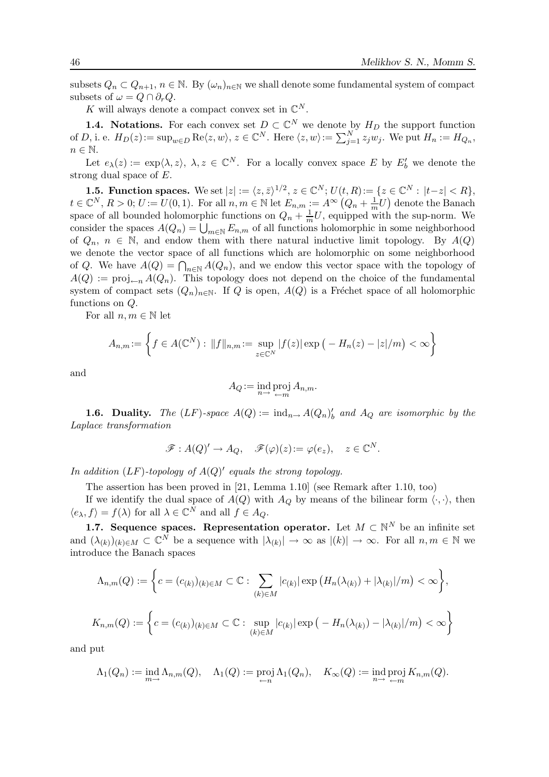subsets  $Q_n \subset Q_{n+1}, n \in \mathbb{N}$ . By  $(\omega_n)_{n \in \mathbb{N}}$  we shall denote some fundamental system of compact subsets of  $\omega = Q \cap \partial_r Q$ .

K will always denote a compact convex set in  $\mathbb{C}^N$ .

**1.4.** Notations. For each convex set  $D \subset \mathbb{C}^N$  we denote by  $H_D$  the support function of D, i. e.  $H_D(z) := \sup_{w \in D} \text{Re}\langle z, w \rangle, z \in \mathbb{C}^N$ . Here  $\langle z, w \rangle := \sum_{j=1}^N z_j w_j$ . We put  $H_n := H_{Q_n}$ ,  $n \in \mathbb{N}$ .

Let  $e_{\lambda}(z) := \exp\langle \lambda, z \rangle$ ,  $\lambda, z \in \mathbb{C}^{N}$ . For a locally convex space E by  $E'_{b}$  we denote the strong dual space of E.

**1.5. Function spaces.** We set  $|z| := \langle z, \bar{z} \rangle^{1/2}, z \in \mathbb{C}^N$ ;  $U(t, R) := \{z \in \mathbb{C}^N : |t - z| < R\},\$  $t \in \mathbb{C}^N$ ,  $R > 0$ ;  $U := U(0, 1)$ . For all  $n, m \in \mathbb{N}$  let  $E_{n,m} := A^{\infty} (Q_n + \frac{1}{m})$  $\frac{1}{m}U$  denote the Banach space of all bounded holomorphic functions on  $Q_n + \frac{1}{m}$  $\frac{1}{m}U$ , equipped with the sup-norm. We consider the spaces  $A(Q_n) = \bigcup_{m \in \mathbb{N}} E_{n,m}$  of all functions holomorphic in some neighborhood of  $Q_n$ ,  $n \in \mathbb{N}$ , and endow them with there natural inductive limit topology. By  $A(Q)$ we denote the vector space of all functions which are holomorphic on some neighborhood of Q. We have  $A(Q) = \bigcap_{n \in \mathbb{N}} A(Q_n)$ , and we endow this vector space with the topology of  $A(Q) := \text{proj}_{\leftarrow n} A(Q_n)$ . This topology does not depend on the choice of the fundamental system of compact sets  $(Q_n)_{n\in\mathbb{N}}$ . If Q is open,  $A(Q)$  is a Fréchet space of all holomorphic functions on Q.

For all  $n, m \in \mathbb{N}$  let

$$
A_{n,m} := \left\{ f \in A(\mathbb{C}^N) : ||f||_{n,m} := \sup_{z \in \mathbb{C}^N} |f(z)| \exp\left(-H_n(z) - |z|/m\right) < \infty \right\}
$$

and

$$
A_Q := \operatorname{ind}_{n \to \infty} \operatorname{proj}_{m} A_{n,m}.
$$

**1.6.** Duality. The  $(LF)$ -space  $A(Q) := \text{ind}_{n \to \infty} A(Q_n)'_b$  and  $A_Q$  are isomorphic by the Laplace transformation

$$
\mathscr{F}: A(Q)' \to A_Q, \quad \mathscr{F}(\varphi)(z) := \varphi(e_z), \quad z \in \mathbb{C}^N.
$$

In addition  $(LF)$ -topology of  $A(Q)'$  equals the strong topology.

The assertion has been proved in [21, Lemma 1.10] (see Remark after 1.10, too)

If we identify the dual space of  $A(Q)$  with  $A_Q$  by means of the bilinear form  $\langle \cdot, \cdot \rangle$ , then  $\langle e_{\lambda}, f \rangle = f(\lambda)$  for all  $\lambda \in \mathbb{C}^{N}$  and all  $f \in A_Q$ .

**1.7.** Sequence spaces. Representation operator. Let  $M \subset \mathbb{N}^N$  be an infinite set and  $(\lambda_{(k)})_{(k)\in M}\subset\mathbb{C}^N$  be a sequence with  $|\lambda_{(k)}|\to\infty$  as  $|(k)|\to\infty$ . For all  $n,m\in\mathbb{N}$  we introduce the Banach spaces

$$
\Lambda_{n,m}(Q) := \left\{ c = (c_{(k)})_{(k) \in M} \subset \mathbb{C} : \sum_{(k) \in M} |c_{(k)}| \exp \left( H_n(\lambda_{(k)}) + |\lambda_{(k)}|/m \right) < \infty \right\},\
$$
\n
$$
K_{n,m}(Q) := \left\{ c = (c_{(k)})_{(k) \in M} \subset \mathbb{C} : \sup_{(k) \in M} |c_{(k)}| \exp \left( -H_n(\lambda_{(k)}) - |\lambda_{(k)}|/m \right) < \infty \right\}
$$

and put

$$
\Lambda_1(Q_n) := \text{ind}_{m \to \infty} \Lambda_{n,m}(Q), \quad \Lambda_1(Q) := \text{proj}_{m \to \infty} \Lambda_1(Q_n), \quad K_\infty(Q) := \text{ind}_{m \to \infty} \text{proj}_{m \to \infty} K_{n,m}(Q).
$$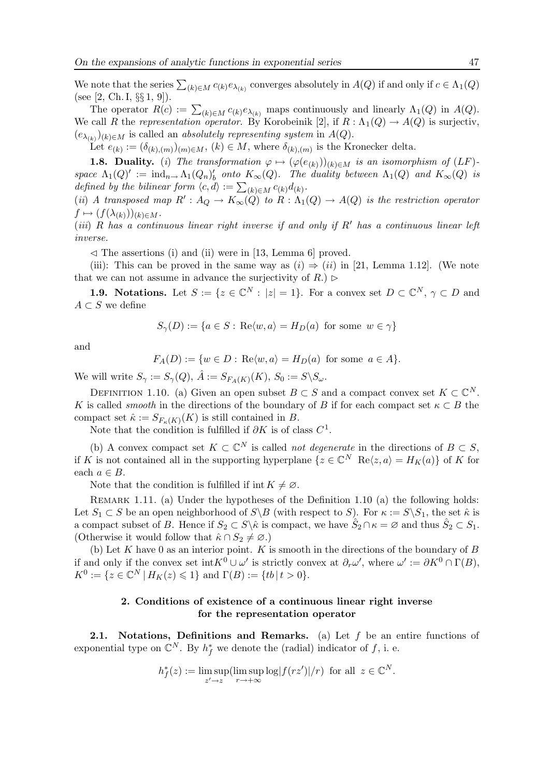We note that the series  $\sum_{(k) \in M} c_{(k)} e_{\lambda_{(k)}}$  converges absolutely in  $A(Q)$  if and only if  $c \in \Lambda_1(Q)$ (see [2, Ch. I,  $\S\S 1, 9$ ]).

The operator  $R(c) := \sum_{(k) \in M} c_{(k)} e_{\lambda_{(k)}}$  maps continuously and linearly  $\Lambda_1(Q)$  in  $A(Q)$ . We call R the representation operator. By Korobeinik [2], if  $R : \Lambda_1(Q) \to A(Q)$  is surjectiv,  $(e_{\lambda_{(k)}})_{(k)\in M}$  is called an absolutely representing system in  $A(Q)$ .

Let  $e_{(k)} := (\delta_{(k),(m)})_{(m) \in M}, (k) \in M$ , where  $\delta_{(k),(m)}$  is the Kronecker delta.

**1.8. Duality.** (i) The transformation  $\varphi \mapsto (\varphi(e_{(k)}))_{(k)\in M}$  is an isomorphism of  $(LF)$ space  $\Lambda_1(Q)' := \text{ind}_{n \to \Lambda_1(Q_n)'_b}$  onto  $K_\infty(Q)$ . The duality between  $\Lambda_1(Q)$  and  $K_\infty(Q)$  is defined by the bilinear form  $\langle c, d \rangle := \sum_{(k) \in M} c_{(k)} d_{(k)}$ .

(ii) A transposed map  $R': A_Q \to K_{\infty}(Q)$  to  $R: \Lambda_1(Q) \to A(Q)$  is the restriction operator  $f \mapsto (f(\lambda_{(k)}))_{(k)\in M}$ .

(iii) R has a continuous linear right inverse if and only if  $R'$  has a continuous linear left inverse.

 $\leq$  The assertions (i) and (ii) were in [13, Lemma 6] proved.

(iii): This can be proved in the same way as  $(i) \Rightarrow (ii)$  in [21, Lemma 1.12]. (We note that we can not assume in advance the surjectivity of  $R$ .)  $\triangleright$ 

**1.9. Notations.** Let  $S := \{z \in \mathbb{C}^N : |z| = 1\}$ . For a convex set  $D \subset \mathbb{C}^N$ ,  $\gamma \subset D$  and  $A \subset S$  we define

$$
S_{\gamma}(D) := \{ a \in S : \operatorname{Re}\langle w, a \rangle = H_D(a) \text{ for some } w \in \gamma \}
$$

and

$$
F_A(D) := \{ w \in D : \operatorname{Re}\langle w, a \rangle = H_D(a) \text{ for some } a \in A \}.
$$

We will write  $S_{\gamma} := S_{\gamma}(Q)$ ,  $\hat{A} := S_{F_A(K)}(K)$ ,  $S_0 := S \backslash S_{\omega}$ .

DEFINITION 1.10. (a) Given an open subset  $B \subset S$  and a compact convex set  $K \subset \mathbb{C}^N$ . K is called *smooth* in the directions of the boundary of B if for each compact set  $\kappa \subset B$  the compact set  $\hat{\kappa} := S_{F_{\kappa}(K)}(K)$  is still contained in B.

Note that the condition is fulfilled if  $\partial K$  is of class  $C^1$ .

(b) A convex compact set  $K \subset \mathbb{C}^N$  is called *not degenerate* in the directions of  $B \subset S$ , if K is not contained all in the supporting hyperplane  $\{z \in \mathbb{C}^N \; \text{Re}\langle z, a \rangle = H_K(a)\}$  of K for each  $a \in B$ .

Note that the condition is fulfilled if int  $K \neq \emptyset$ .

REMARK 1.11. (a) Under the hypotheses of the Definition 1.10 (a) the following holds: Let  $S_1 \subset S$  be an open neighborhood of  $S \backslash B$  (with respect to S). For  $\kappa := S \backslash S_1$ , the set  $\hat{\kappa}$  is a compact subset of B. Hence if  $S_2 \subset S \backslash \hat{\kappa}$  is compact, we have  $\hat{S}_2 \cap \kappa = \varnothing$  and thus  $\hat{S}_2 \subset S_1$ . (Otherwise it would follow that  $\hat{\kappa} \cap S_2 \neq \emptyset$ .)

(b) Let  $K$  have 0 as an interior point.  $K$  is smooth in the directions of the boundary of  $B$ if and only if the convex set  $int K^0 \cup \omega'$  is strictly convex at  $\partial_r \omega'$ , where  $\omega' := \partial K^0 \cap \Gamma(B)$ ,  $K^0 := \{ z \in \mathbb{C}^N \mid H_K(z) \leq 1 \}$  and  $\Gamma(B) := \{ tb \mid t > 0 \}.$ 

## 2. Conditions of existence of a continuous linear right inverse for the representation operator

2.1. Notations, Definitions and Remarks. (a) Let  $f$  be an entire functions of exponential type on  $\mathbb{C}^N$ . By  $h_f^*$  we denote the (radial) indicator of f, i. e.

$$
h_f^*(z) := \limsup_{z' \to z} (\limsup_{r \to +\infty} \log |f(rz')|/r)
$$
 for all  $z \in \mathbb{C}^N$ .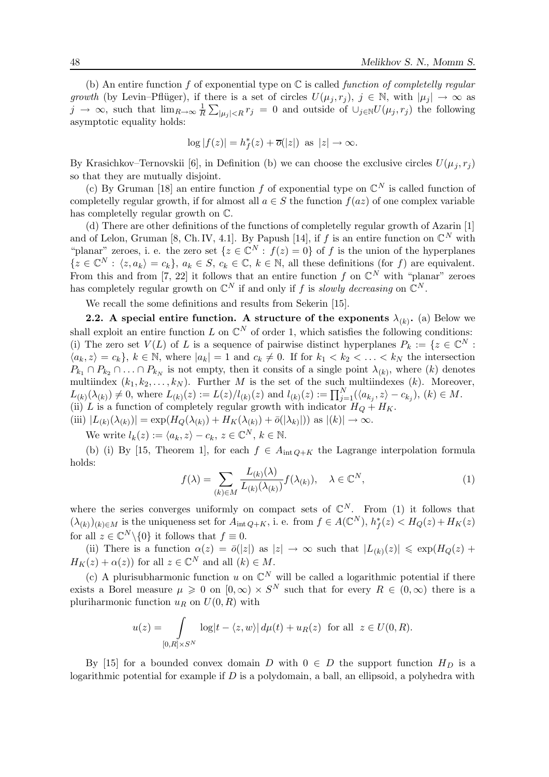(b) An entire function f of exponential type on  $\mathbb C$  is called function of completelly regular growth (by Levin–Pflüger), if there is a set of circles  $U(\mu_i, r_i)$ ,  $j \in \mathbb{N}$ , with  $|\mu_i| \to \infty$  as  $j \rightarrow \infty$ , such that  $\lim_{R\rightarrow\infty}\frac{1}{R}$  $\frac{1}{R} \sum_{|\mu_j| < R} r_j = 0$  and outside of  $\cup_{j \in \mathbb{N}} U(\mu_j, r_j)$  the following asymptotic equality holds:

$$
\log|f(z)| = h_f^*(z) + \overline{o}(|z|) \text{ as } |z| \to \infty.
$$

By Krasichkov–Ternovskii [6], in Definition (b) we can choose the exclusive circles  $U(\mu_j, r_j)$ so that they are mutually disjoint.

(c) By Gruman [18] an entire function f of exponential type on  $\mathbb{C}^N$  is called function of completelly regular growth, if for almost all  $a \in S$  the function  $f(az)$  of one complex variable has completelly regular growth on C.

(d) There are other definitions of the functions of completelly regular growth of Azarin [1] and of Lelon, Gruman [8, Ch. IV, 4.1]. By Papush [14], if f is an entire function on  $\mathbb{C}^N$  with "planar" zeroes, i. e. the zero set  $\{z \in \mathbb{C}^N : f(z) = 0\}$  of f is the union of the hyperplanes  $\{z \in \mathbb{C}^N : \langle z, a_k \rangle = c_k\}, a_k \in S, c_k \in \mathbb{C}, k \in \mathbb{N}, \text{ all these definitions (for } f \text{) are equivalent.}$ From this and from [7, 22] it follows that an entire function f on  $\mathbb{C}^N$  with "planar" zeroes has completely regular growth on  $\mathbb{C}^N$  if and only if f is slowly decreasing on  $\mathbb{C}^N$ .

We recall the some definitions and results from Sekerin [15].

**2.2.** A special entire function. A structure of the exponents  $\lambda_{(k)}$ . (a) Below we shall exploit an entire function L on  $\mathbb{C}^N$  of order 1, which satisfies the following conditions: (i) The zero set  $V(L)$  of L is a sequence of pairwise distinct hyperplanes  $P_k := \{z \in \mathbb{C}^N :$  $\langle a_k, z \rangle = c_k$ ,  $k \in \mathbb{N}$ , where  $|a_k| = 1$  and  $c_k \neq 0$ . If for  $k_1 < k_2 < \ldots < k_N$  the intersection  $P_{k_1} \cap P_{k_2} \cap \ldots \cap P_{k_N}$  is not empty, then it consits of a single point  $\lambda_{(k)}$ , where  $(k)$  denotes multiindex  $(k_1, k_2, \ldots, k_N)$ . Further M is the set of the such multiindexes  $(k)$ . Moreover,  $L_{(k)}(\lambda_{(k)}) \neq 0$ , where  $L_{(k)}(z) := L(z)/l_{(k)}(z)$  and  $l_{(k)}(z) := \prod_{j=1}^{N} (\langle a_{k_j}, z \rangle - c_{k_j}), (k) \in M$ . (ii) L is a function of completely regular growth with indicator  $H_Q + H_K$ .

(iii)  $|L_{(k)}(\lambda_{(k)})| = \exp(H_Q(\lambda_{(k)}) + H_K(\lambda_{(k)}) + \bar{o}(|\lambda_k|))$  as  $|(k)| \to \infty$ .

We write  $l_k(z) := \langle a_k, z \rangle - c_k, z \in \mathbb{C}^N, k \in \mathbb{N}.$ 

(b) (i) By [15, Theorem 1], for each  $f \in A_{int Q+K}$  the Lagrange interpolation formula holds:

$$
f(\lambda) = \sum_{(k)\in M} \frac{L_{(k)}(\lambda)}{L_{(k)}(\lambda_{(k)})} f(\lambda_{(k)}), \quad \lambda \in \mathbb{C}^N,
$$
 (1)

where the series converges uniformly on compact sets of  $\mathbb{C}^N$ . From (1) it follows that  $(\lambda_{(k)})_{(k)\in M}$  is the uniqueness set for  $A_{\text{int }Q+K}$ , i. e. from  $f\in A(\mathbb{C}^N)$ ,  $h_f^*(z) < H_Q(z) + H_K(z)$ for all  $z \in \mathbb{C}^N \backslash \{0\}$  it follows that  $f \equiv 0$ .

(ii) There is a function  $\alpha(z) = \overline{\partial}(|z|)$  as  $|z| \to \infty$  such that  $|L_{(k)}(z)| \leq \exp(H_Q(z) +$  $H_K(z) + \alpha(z)$ ) for all  $z \in \mathbb{C}^N$  and all  $(k) \in M$ .

(c) A plurisubharmonic function u on  $\mathbb{C}^N$  will be called a logarithmic potential if there exists a Borel measure  $\mu \geq 0$  on  $[0,\infty) \times S^N$  such that for every  $R \in (0,\infty)$  there is a pluriharmonic function  $u_R$  on  $U(0, R)$  with

$$
u(z) = \int\limits_{[0,R] \times S^N} \log|t - \langle z, w \rangle| d\mu(t) + u_R(z) \text{ for all } z \in U(0,R).
$$

By [15] for a bounded convex domain D with  $0 \in D$  the support function  $H_D$  is a logarithmic potential for example if  $D$  is a polydomain, a ball, an ellipsoid, a polyhedra with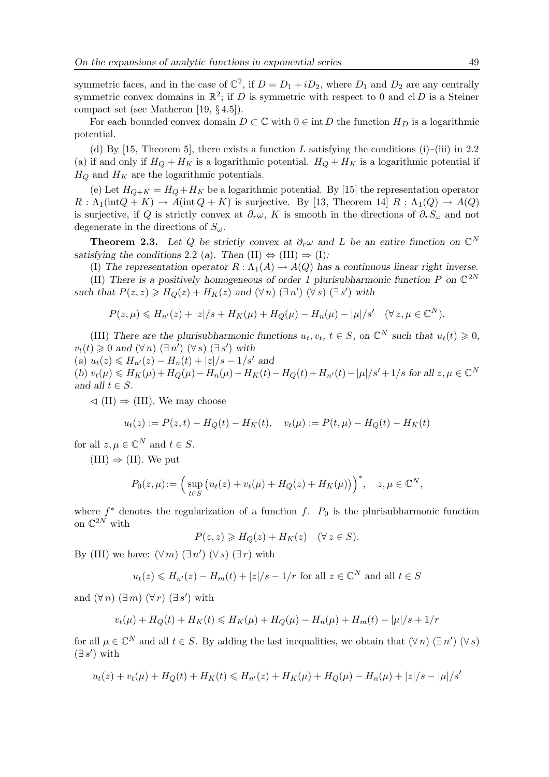symmetric faces, and in the case of  $\mathbb{C}^2$ , if  $D = D_1 + iD_2$ , where  $D_1$  and  $D_2$  are any centrally symmetric convex domains in  $\mathbb{R}^2$ ; if D is symmetric with respect to 0 and cl D is a Steiner compact set (see Matheron [19, § 4.5]).

For each bounded convex domain  $D \subset \mathbb{C}$  with  $0 \in \text{int } D$  the function  $H_D$  is a logarithmic potential.

(d) By [15, Theorem 5], there exists a function L satisfying the conditions (i)–(iii) in 2.2 (a) if and only if  $H_Q + H_K$  is a logarithmic potential.  $H_Q + H_K$  is a logarithmic potential if  $H_Q$  and  $H_K$  are the logarithmic potentials.

(e) Let  $H_{Q+K} = H_Q + H_K$  be a logarithmic potential. By [15] the representation operator  $R: \Lambda_1(\text{int}Q + K) \to A(\text{int}Q + K)$  is surjective. By [13, Theorem 14]  $R: \Lambda_1(Q) \to A(Q)$ is surjective, if Q is strictly convex at  $\partial_r \omega$ , K is smooth in the directions of  $\partial_r S_\omega$  and not degenerate in the directions of  $S_{\omega}$ .

**Theorem 2.3.** Let Q be strictly convex at  $\partial_r \omega$  and L be an entire function on  $\mathbb{C}^N$ satisfying the conditions 2.2 (a). Then  $(II) \Leftrightarrow (III) \Rightarrow (I)$ :

(I) The representation operator  $R : \Lambda_1(A) \to A(Q)$  has a continuous linear right inverse. (II) There is a positively homogeneous of order 1 plurisubharmonic function P on  $\mathbb{C}^{2N}$ such that  $P(z, z) \ge H_Q(z) + H_K(z)$  and  $(\forall n) (\exists n') (\forall s) (\exists s')$  with

$$
P(z,\mu) \le H_{n'}(z) + |z|/s + H_K(\mu) + H_Q(\mu) - H_n(\mu) - |\mu|/s' \quad (\forall z, \mu \in \mathbb{C}^N).
$$

(III) There are the plurisubharmonic functions  $u_t, v_t, t \in S$ , on  $\mathbb{C}^N$  such that  $u_t(t) \geq 0$ ,  $v_t(t) \geq 0$  and  $(\forall n) (\exists n') (\forall s) (\exists s')$  with

(a)  $u_t(z) \leq H_{n'}(z) - H_n(t) + |z|/s - 1/s'$  and (b)  $v_t(\mu) \le H_K(\mu) + H_Q(\mu) - H_n(\mu) - H_K(t) - H_Q(t) + H_{n'}(t) - |\mu|/s' + 1/s$  for all  $z, \mu \in \mathbb{C}^N$ and all  $t \in S$ .

 $\langle$  (II)  $\Rightarrow$  (III). We may choose

$$
u_t(z) := P(z, t) - H_Q(t) - H_K(t), \quad v_t(\mu) := P(t, \mu) - H_Q(t) - H_K(t)
$$

for all  $z, \mu \in \mathbb{C}^N$  and  $t \in S$ .

 $(III) \Rightarrow (II)$ . We put

$$
P_0(z,\mu) := \left(\sup_{t \in S} (u_t(z) + v_t(\mu) + H_Q(z) + H_K(\mu))\right)^*, \quad z, \mu \in \mathbb{C}^N,
$$

where  $f^*$  denotes the regularization of a function f.  $P_0$  is the plurisubharmonic function on  $\mathbb{C}^{2N}$  with

$$
P(z, z) \geqslant H_Q(z) + H_K(z) \quad (\forall z \in S).
$$

By (III) we have:  $(\forall m) (\exists n') (\forall s) (\exists r)$  with

$$
u_t(z) \leq H_{n'}(z) - H_m(t) + |z|/s - 1/r
$$
 for all  $z \in \mathbb{C}^N$  and all  $t \in S$ 

and  $(\forall n) (\exists m) (\forall r) (\exists s')$  with

$$
v_t(\mu) + H_Q(t) + H_K(t) \le H_K(\mu) + H_Q(\mu) - H_n(\mu) + H_m(t) - |\mu|/s + 1/r
$$

for all  $\mu \in \mathbb{C}^N$  and all  $t \in S$ . By adding the last inequalities, we obtain that  $(\forall n) (\exists n') (\forall s)$  $(\exists s')$  with

$$
u_t(z) + v_t(\mu) + H_Q(t) + H_K(t) \le H_{n'}(z) + H_K(\mu) + H_Q(\mu) - H_n(\mu) + |z|/s - |\mu|/s'
$$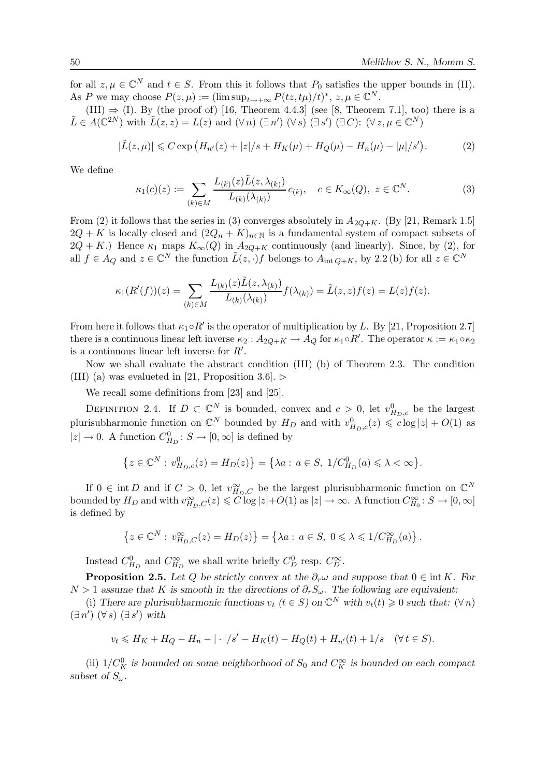for all  $z, \mu \in \mathbb{C}^N$  and  $t \in S$ . From this it follows that  $P_0$  satisfies the upper bounds in (II). As P we may choose  $P(z, \mu) := (\limsup_{t \to +\infty} P(tz, t\mu)/t)^*$ ,  $z, \mu \in \mathbb{C}^N$ .

 $(III) \Rightarrow (I)$ . By (the proof of) [16, Theorem 4.4.3] (see [8, Theorem 7.1], too) there is a  $\tilde{L} \in A(\mathbb{C}^{2N})$  with  $\tilde{L}(z, z) = L(z)$  and  $(\forall n) (\exists n') (\forall s) (\exists s') (\exists C) : (\forall z, \mu \in \mathbb{C}^{N})$ 

$$
|\tilde{L}(z,\mu)| \leq C \exp\left(H_{n'}(z) + |z|/s + H_K(\mu) + H_Q(\mu) - H_n(\mu) - |\mu|/s'\right). \tag{2}
$$

We define

$$
\kappa_1(c)(z) := \sum_{(k)\in M} \frac{L_{(k)}(z)\tilde{L}(z,\lambda_{(k)})}{L_{(k)}(\lambda_{(k)})} c_{(k)}, \quad c \in K_\infty(Q), \ z \in \mathbb{C}^N. \tag{3}
$$

From (2) it follows that the series in (3) converges absolutely in  $A_{2Q+K}$ . (By [21, Remark 1.5]  $2Q + K$  is locally closed and  $(2Q_n + K)_{n \in \mathbb{N}}$  is a fundamental system of compact subsets of  $2Q + K$ .) Hence  $\kappa_1$  maps  $K_\infty(Q)$  in  $A_{2Q+K}$  continuously (and linearly). Since, by (2), for all  $f \in A_Q$  and  $z \in \mathbb{C}^N$  the function  $\tilde{L}(z, \cdot)f$  belongs to  $A_{intQ+K}$ , by 2.2(b) for all  $z \in \mathbb{C}^N$ 

$$
\kappa_1(R'(f))(z) = \sum_{(k) \in M} \frac{L_{(k)}(z)\tilde{L}(z,\lambda_{(k)})}{L_{(k)}(\lambda_{(k)})} f(\lambda_{(k)}) = \tilde{L}(z, z) f(z) = L(z) f(z).
$$

From here it follows that  $\kappa_1 \circ R'$  is the operator of multiplication by L. By [21, Proposition 2.7] there is a continuous linear left inverse  $\kappa_2$ :  $A_{2Q+K} \to A_Q$  for  $\kappa_1 \circ R'$ . The operator  $\kappa := \kappa_1 \circ \kappa_2$ is a continuous linear left inverse for  $R'$ .

Now we shall evaluate the abstract condition (III) (b) of Theorem 2.3. The condition (III) (a) was evalueted in [21, Proposition 3.6].  $\triangleright$ 

We recall some definitions from [23] and [25].

DEFINITION 2.4. If  $D \subset \mathbb{C}^N$  is bounded, convex and  $c > 0$ , let  $v_{H_D,c}^0$  be the largest plurisubharmonic function on  $\mathbb{C}^N$  bounded by  $H_D$  and with  $v^0_{H_D,c}(z) \leqslant c \log |z| + O(1)$  as  $|z| \to 0$ . A function  $C_{H_D}^0$ :  $S \to [0, \infty]$  is defined by

$$
\{z \in \mathbb{C}^N : v_{H_D,c}^0(z) = H_D(z)\} = \{\lambda a : a \in S, 1/C_{H_D}^0(a) \leq \lambda < \infty\}.
$$

If  $0 \in \text{int } D$  and if  $C > 0$ , let  $v_{H_D,C}^{\infty}$  be the largest plurisubharmonic function on  $\mathbb{C}^N$ bounded by  $H_D$  and with  $v^{\infty}_{H_D,C}(z) \leqslant C \log |z| + O(1)$  as  $|z| \to \infty$ . A function  $C^{\infty}_{H_0}: S \to [0, \infty]$ is defined by

$$
\left\{z \in \mathbb{C}^N : v_{H_D,C}^{\infty}(z) = H_D(z)\right\} = \left\{\lambda a : a \in S, \ 0 \leq \lambda \leq 1/C_{H_D}^{\infty}(a)\right\}.
$$

Instead  $C_{H_D}^0$  and  $C_{H_D}^{\infty}$  we shall write briefly  $C_D^0$  resp.  $C_D^{\infty}$ .

**Proposition 2.5.** Let Q be strictly convex at the  $\partial_r \omega$  and suppose that  $0 \in \text{int } K$ . For  $N > 1$  assume that K is smooth in the directions of  $\partial_r S_\omega$ . The following are equivalent:

(i) There are plurisubharmonic functions  $v_t$   $(t \in S)$  on  $\mathbb{C}^N$  with  $v_t(t) \geq 0$  such that:  $(\forall n)$  $(\exists n') (\forall s) (\exists s') \text{ with}$ 

$$
v_t \le H_K + H_Q - H_n - |\cdot|/s' - H_K(t) - H_Q(t) + H_{n'}(t) + 1/s \quad (\forall \, t \in S).
$$

(ii)  $1/C_K^0$  is bounded on some neighborhood of  $S_0$  and  $C_K^{\infty}$  is bounded on each compact subset of  $S_{\omega}$ .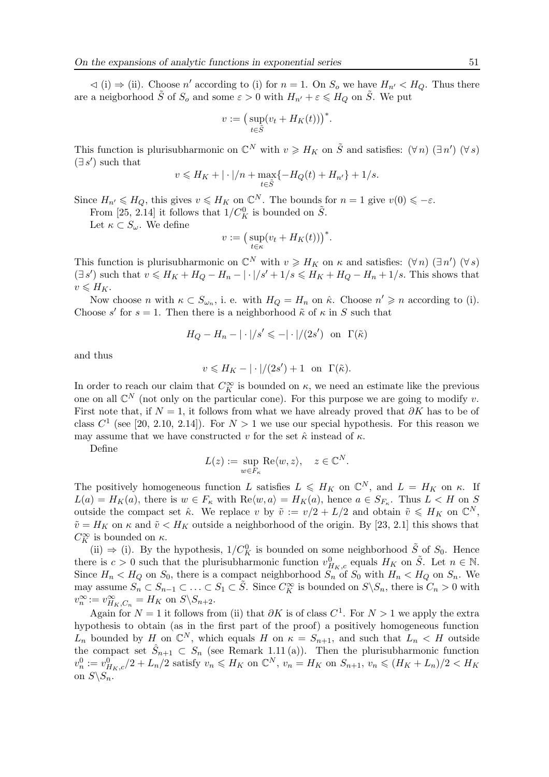$\langle \langle i | \rangle \rangle$  (ii). Choose n' according to (i) for  $n = 1$ . On  $S_o$  we have  $H_{n'} \langle H_Q$ . Thus there are a neigborhood  $\tilde{S}$  of  $S_o$  and some  $\varepsilon > 0$  with  $H_{n'} + \varepsilon \leq H_Q$  on  $\tilde{S}$ . We put

$$
v := \big(\sup_{t \in \tilde{S}} (v_t + H_K(t))\big)^*.
$$

This function is plurisubharmonic on  $\mathbb{C}^N$  with  $v \ge H_K$  on  $\tilde{S}$  and satisfies:  $(\forall n)$   $(\exists n')$   $(\forall s)$  $(\exists s')$  such that

$$
v \leq H_K + |\cdot|/n + \max_{t \in \tilde{S}} \{-H_Q(t) + H_{n'}\} + 1/s.
$$

Since  $H_{n'} \leq H_Q$ , this gives  $v \leq H_K$  on  $\mathbb{C}^N$ . The bounds for  $n = 1$  give  $v(0) \leq -\varepsilon$ .

From [25, 2.14] it follows that  $1/C_K^0$  is bounded on  $\tilde{S}$ .

Let  $\kappa \subset S_\omega$ . We define

$$
v := \big(\sup_{t \in \kappa} (v_t + H_K(t))\big)^*.
$$

This function is plurisubharmonic on  $\mathbb{C}^N$  with  $v \ge H_K$  on  $\kappa$  and satisfies:  $(\forall n)$   $(\exists n')$   $(\forall s)$  $(\exists s')$  such that  $v \le H_K + H_Q - H_n - | \cdot |/s' + 1/s \le H_K + H_Q - H_n + 1/s$ . This shows that  $v \leqslant H_K$ .

Now choose *n* with  $\kappa \subset S_{\omega_n}$ , i. e. with  $H_Q = H_n$  on  $\hat{\kappa}$ . Choose  $n' \geq n$  according to (i). Choose s' for  $s = 1$ . Then there is a neighborhood  $\tilde{\kappa}$  of  $\kappa$  in S such that

$$
H_Q - H_n - |\cdot|/s' \leqslant -|\cdot|/(2s') \text{ on } \Gamma(\tilde{\kappa})
$$

and thus

$$
v \leqslant H_K - |\cdot|/(2s') + 1 \quad \text{on} \quad \Gamma(\tilde{\kappa}).
$$

In order to reach our claim that  $C_K^{\infty}$  is bounded on  $\kappa$ , we need an estimate like the previous one on all  $\mathbb{C}^N$  (not only on the particular cone). For this purpose we are going to modify v. First note that, if  $N = 1$ , it follows from what we have already proved that  $\partial K$  has to be of class  $C^1$  (see [20, 2.10, 2.14]). For  $N > 1$  we use our special hypothesis. For this reason we may assume that we have constructed v for the set  $\hat{\kappa}$  instead of  $\kappa$ .

Define

$$
L(z) := \sup_{w \in F_{\kappa}} \text{Re}\langle w, z \rangle, \quad z \in \mathbb{C}^N.
$$

The positively homogeneous function L satisfies  $L \leq H_K$  on  $\mathbb{C}^N$ , and  $L = H_K$  on  $\kappa$ . If  $L(a) = H_K(a)$ , there is  $w \in F_\kappa$  with  $\text{Re}\langle w, a \rangle = H_K(a)$ , hence  $a \in S_{F_\kappa}$ . Thus  $L < H$  on S outside the compact set  $\hat{\kappa}$ . We replace v by  $\tilde{v} := v/2 + L/2$  and obtain  $\tilde{v} \leq H_K$  on  $\mathbb{C}^N$ ,  $\tilde{v} = H_K$  on  $\kappa$  and  $\tilde{v} < H_K$  outside a neighborhood of the origin. By [23, 2.1] this shows that  $C_K^{\infty}$  is bounded on  $\kappa$ .

(ii)  $\Rightarrow$  (i). By the hypothesis,  $1/C_K^0$  is bounded on some neighborhood  $\tilde{S}_\text{o}$  of  $S_0$ . Hence there is  $c > 0$  such that the plurisubharmonic function  $v_{H_K,c}^0$  equals  $H_K$  on  $\tilde{S}$ . Let  $n \in \mathbb{N}$ . Since  $H_n < H_Q$  on  $S_0$ , there is a compact neighborhood  $S_n$  of  $S_0$  with  $H_n < H_Q$  on  $S_n$ . We may assume  $S_n \subset S_{n-1} \subset \ldots \subset S_1 \subset \tilde{S}$ . Since  $C_K^{\infty}$  is bounded on  $S \backslash S_n$ , there is  $C_n > 0$  with  $v_n^{\infty} := v_{H_K, C_n}^{\infty} = H_K$  on  $S \backslash S_{n+2}$ .

Again for  $N = 1$  it follows from (ii) that  $\partial K$  is of class  $C^1$ . For  $N > 1$  we apply the extra hypothesis to obtain (as in the first part of the proof) a positively homogeneous function  $L_n$  bounded by H on  $\mathbb{C}^N$ , which equals H on  $\kappa = S_{n+1}$ , and such that  $L_n < H$  outside the compact set  $\hat{S}_{n+1} \subset S_n$  (see Remark 1.11(a)). Then the plurisubharmonic function  $v_n^0 := v_{H_K,c}^0/2 + L_n/2$  satisfy  $v_n \leq H_K$  on  $\mathbb{C}^N$ ,  $v_n = H_K$  on  $S_{n+1}, v_n \leq H_K + L_n/2 < H_K$ on  $S\backslash S_n$ .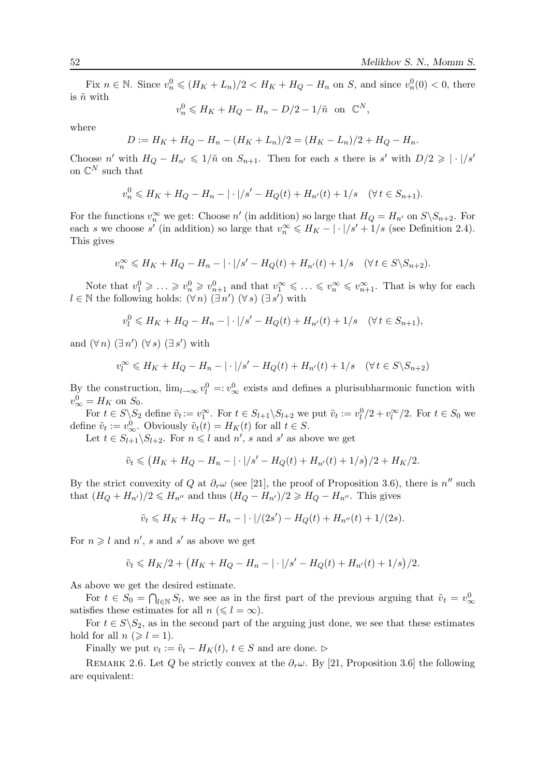Fix  $n \in \mathbb{N}$ . Since  $v_n^0 \leqslant (H_K + L_n)/2 < H_K + H_Q - H_n$  on S, and since  $v_n^0(0) < 0$ , there is  $\tilde{n}$  with

$$
v_n^0 \leqslant H_K + H_Q - H_n - D/2 - 1/\tilde{n} \quad \text{on} \quad \mathbb{C}^N,
$$

where

$$
D := H_K + H_Q - H_n - (H_K + L_n)/2 = (H_K - L_n)/2 + H_Q - H_n.
$$

Choose n' with  $H_Q - H_{n'} \leq 1/\tilde{n}$  on  $S_{n+1}$ . Then for each s there is s' with  $D/2 \geqslant |\cdot|/s'$ on  $\mathbb{C}^N$  such that

$$
v_n^0 \leq H_K + H_Q - H_n - |\cdot|/s' - H_Q(t) + H_{n'}(t) + 1/s \quad (\forall \, t \in S_{n+1}).
$$

For the functions  $v_n^{\infty}$  we get: Choose n' (in addition) so large that  $H_Q = H_{n'}$  on  $S \backslash S_{n+2}$ . For each s we choose s' (in addition) so large that  $v_n^{\infty} \leq H_K - | \cdot |/s' + 1/s$  (see Definition 2.4). This gives

$$
v_n^{\infty} \leq H_K + H_Q - H_n - |\cdot|/s' - H_Q(t) + H_{n'}(t) + 1/s \quad (\forall t \in S \setminus S_{n+2}).
$$

Note that  $v_1^0 \geqslant \ldots \geqslant v_n^0 \geqslant v_{n+1}^0$  and that  $v_1^{\infty} \leqslant \ldots \leqslant v_n^{\infty} \leqslant v_{n+1}^{\infty}$ . That is why for each  $l \in \mathbb{N}$  the following holds:  $(\forall n)$   $(\exists n')$   $(\forall s)$   $(\exists s')$  with

$$
v_l^0 \leq H_K + H_Q - H_n - |\cdot|/s' - H_Q(t) + H_{n'}(t) + 1/s \quad (\forall \, t \in S_{n+1}),
$$

and  $(\forall n) (\exists n') (\forall s) (\exists s')$  with

$$
v_l^{\infty} \le H_K + H_Q - H_n - |\cdot|/s' - H_Q(t) + H_{n'}(t) + 1/s \quad (\forall \, t \in S \setminus S_{n+2})
$$

By the construction,  $\lim_{l\to\infty}v_l^0 =: v_\infty^0$  exists and defines a plurisubharmonic function with  $v_{\infty}^0 = H_K$  on  $S_0$ .

For  $t \in S \backslash S_2$  define  $\tilde{v}_t := v_1^{\infty}$ . For  $t \in S_{l+1} \backslash S_{l+2}$  we put  $\tilde{v}_t := v_l^0/2 + v_l^{\infty}/2$ . For  $t \in S_0$  we define  $\tilde{v}_t := v_{\infty}^0$ . Obviously  $\tilde{v}_t(t) = H_K(t)$  for all  $t \in S$ .

Let  $t \in S_{l+1} \backslash S_{l+2}$ . For  $n \leq l$  and  $n'$ , s and s' as above we get

$$
\tilde{v}_t \leq (H_K + H_Q - H_n - |\cdot|/s' - H_Q(t) + H_{n'}(t) + 1/s)/2 + H_K/2.
$$

By the strict convexity of Q at  $\partial_r \omega$  (see [21], the proof of Proposition 3.6), there is n'' such that  $(H_Q + H_{n'})/2 \leq H_{n''}$  and thus  $(H_Q - H_{n'})/2 \geq H_Q - H_{n''}$ . This gives

$$
\tilde{v}_t \leq H_K + H_Q - H_n - |\cdot|/(2s') - H_Q(t) + H_{n''}(t) + 1/(2s).
$$

For  $n \geq l$  and  $n'$ , s and s' as above we get

$$
\tilde{v}_t \leq H_K/2 + \left(H_K + H_Q - H_n - |\cdot|/s' - H_Q(t) + H_{n'}(t) + 1/s\right)/2.
$$

As above we get the desired estimate.

For  $t \in S_0 = \bigcap_{l \in \mathbb{N}} S_l$ , we see as in the first part of the previous arguing that  $\tilde{v}_t = v_\infty^0$ satisfies these estimates for all  $n \leq l = \infty$ ).

For  $t \in S \backslash S_2$ , as in the second part of the arguing just done, we see that these estimates hold for all  $n \ (\geqslant l = 1).$ 

Finally we put  $v_t := \tilde{v}_t - H_K(t)$ ,  $t \in S$  and are done.  $\triangleright$ 

REMARK 2.6. Let Q be strictly convex at the  $\partial_r \omega$ . By [21, Proposition 3.6] the following are equivalent: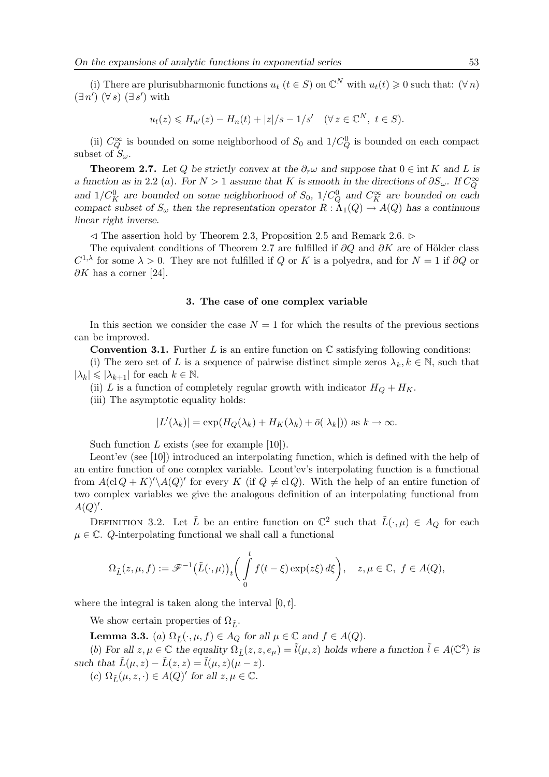(i) There are plurisubharmonic functions  $u_t$   $(t \in S)$  on  $\mathbb{C}^N$  with  $u_t(t) \geq 0$  such that:  $(\forall n)$  $(\exists n') (\forall s) (\exists s')$  with

$$
u_t(z) \le H_{n'}(z) - H_n(t) + |z|/s - 1/s' \quad (\forall z \in \mathbb{C}^N, \ t \in S).
$$

(ii)  $C_Q^{\infty}$  is bounded on some neighborhood of  $S_0$  and  $1/C_Q^0$  is bounded on each compact subset of  $S_{\omega}$ .

**Theorem 2.7.** Let Q be strictly convex at the  $\partial_r \omega$  and suppose that  $0 \in \text{int } K$  and L is a function as in 2.2 (a). For  $N > 1$  assume that K is smooth in the directions of  $\partial S_{\omega}$ . If  $C_Q^{\infty}$ and  $1/C_K^0$  are bounded on some neighborhood of  $S_0$ ,  $1/C_Q^0$  and  $C_K^{\infty}$  are bounded on each compact subset of  $S_{\omega}$  then the representation operator  $R : \Lambda_1(Q) \to A(Q)$  has a continuous linear right inverse.

 $\leq$  The assertion hold by Theorem 2.3, Proposition 2.5 and Remark 2.6.  $\triangleright$ 

The equivalent conditions of Theorem 2.7 are fulfilled if  $\partial O$  and  $\partial K$  are of Hölder class  $C^{1,\lambda}$  for some  $\lambda > 0$ . They are not fulfilled if Q or K is a polyedra, and for  $N = 1$  if  $\partial Q$  or  $\partial K$  has a corner [24].

### 3. The case of one complex variable

In this section we consider the case  $N = 1$  for which the results of the previous sections can be improved.

**Convention 3.1.** Further L is an entire function on  $\mathbb C$  satisfying following conditions:

(i) The zero set of L is a sequence of pairwise distinct simple zeros  $\lambda_k, k \in \mathbb{N}$ , such that  $|\lambda_k| \leq |\lambda_{k+1}|$  for each  $k \in \mathbb{N}$ .

(ii) L is a function of completely regular growth with indicator  $H_Q + H_K$ .

(iii) The asymptotic equality holds:

$$
|L'(\lambda_k)| = \exp(H_Q(\lambda_k) + H_K(\lambda_k) + \bar{o}(|\lambda_k|)) \text{ as } k \to \infty.
$$

Such function  $L$  exists (see for example [10]).

Leont'ev (see [10]) introduced an interpolating function, which is defined with the help of an entire function of one complex variable. Leont'ev's interpolating function is a functional from  $A(\text{cl }Q + K)' \backslash A(Q)'$  for every K (if  $Q \neq \text{cl }Q$ ). With the help of an entire function of two complex variables we give the analogous definition of an interpolating functional from  $A(Q)'.$ 

DEFINITION 3.2. Let  $\tilde{L}$  be an entire function on  $\mathbb{C}^2$  such that  $\tilde{L}(\cdot,\mu) \in A_Q$  for each  $\mu \in \mathbb{C}$ . Q-interpolating functional we shall call a functional

$$
\Omega_{\tilde{L}}(z,\mu,f):=\mathscr{F}^{-1}\big(\tilde{L}(\cdot,\mu)\big)_t\bigg(\int\limits_0^t f(t-\xi)\exp(z\xi)\,d\xi\bigg),\quad z,\mu\in\mathbb{C},\ f\in A(Q),
$$

where the integral is taken along the interval  $[0, t]$ .

We show certain properties of  $\Omega_{\tilde{L}}$ .

**Lemma 3.3.** (a)  $\Omega_{\tilde{L}}(\cdot, \mu, f) \in A_Q$  for all  $\mu \in \mathbb{C}$  and  $f \in A(Q)$ .

(b) For all  $z, \mu \in \mathbb{C}$  the equality  $\Omega_{\tilde{L}}(z, z, e_{\mu}) = \tilde{l}(\mu, z)$  holds where a function  $\tilde{l} \in A(\mathbb{C}^2)$  is such that  $\tilde{L}(\mu, z) - \tilde{L}(z, z) = \tilde{l}(\mu, z)(\mu - z)$ .

(c)  $\Omega_{\tilde{L}}(\mu, z, \cdot) \in A(Q)'$  for all  $z, \mu \in \mathbb{C}$ .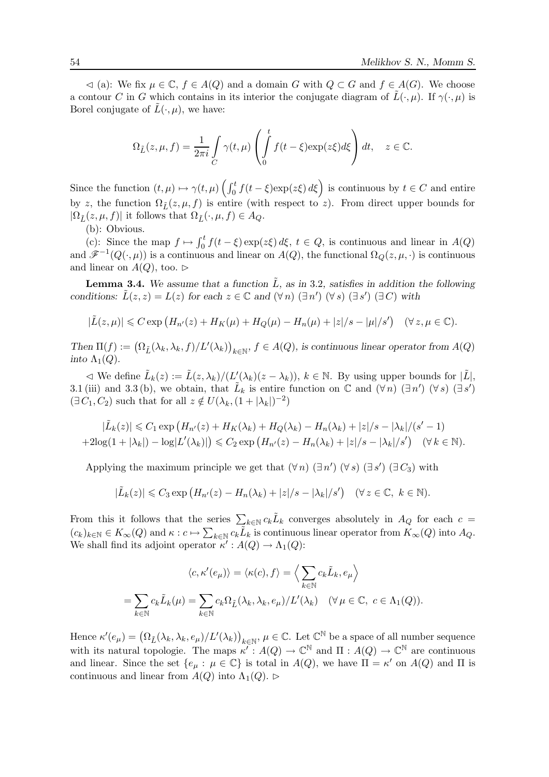$\lhd$  (a): We fix  $\mu \in \mathbb{C}$ ,  $f \in A(Q)$  and a domain G with  $Q \subset G$  and  $f \in A(G)$ . We choose a contour C in G which contains in its interior the conjugate diagram of  $\tilde{L}(\cdot,\mu)$ . If  $\gamma(\cdot,\mu)$  is Borel conjugate of  $\tilde{L}(\cdot,\mu)$ , we have:

$$
\Omega_{\tilde{L}}(z,\mu,f) = \frac{1}{2\pi i} \int_{C} \gamma(t,\mu) \left( \int_{0}^{t} f(t-\xi) \exp(z\xi) d\xi \right) dt, \quad z \in \mathbb{C}.
$$

Since the function  $(t, \mu) \mapsto \gamma(t, \mu) \left( \int_0^t f(t - \xi) \exp(z \xi) d\xi \right)$  is continuous by  $t \in C$  and entire by z, the function  $\Omega_{\tilde{L}}(z, \mu, f)$  is entire (with respect to z). From direct upper bounds for  $|\Omega_{\tilde{L}}(z,\mu,f)|$  it follows that  $\Omega_{\tilde{L}}(\cdot,\mu,f) \in A_Q$ .

(b): Obvious.

(c): Since the map  $f \mapsto \int_0^t f(t - \xi) \exp(z\xi) d\xi$ ,  $t \in Q$ , is continuous and linear in  $A(Q)$ and  $\mathscr{F}^{-1}(Q(\cdot,\mu))$  is a continuous and linear on  $A(Q)$ , the functional  $\Omega_Q(z,\mu,\cdot)$  is continuous and linear on  $A(Q)$ , too.  $\triangleright$ 

**Lemma 3.4.** We assume that a function  $\tilde{L}$ , as in 3.2, satisfies in addition the following conditions:  $\tilde{L}(z, z) = L(z)$  for each  $z \in \mathbb{C}$  and  $(\forall n) (\exists n') (\forall s) (\exists s') (\exists C)$  with

$$
|\tilde L(z,\mu)|\leqslant C\exp\left(H_{n'}(z)+H_K(\mu)+H_Q(\mu)-H_n(\mu)+|z|/s-|\mu|/s'\right)\quad(\forall\,z,\mu\in\mathbb{C}).
$$

Then  $\Pi(f) := (\Omega_{\tilde{L}}(\lambda_k, \lambda_k, f)/L'(\lambda_k))_{k \in \mathbb{N}}, f \in A(Q)$ , is continuous linear operator from  $A(Q)$ into  $\Lambda_1(Q)$ .

 $\langle A \rangle$  We define  $\tilde{L}_k(z) := \tilde{L}(z, \lambda_k)/(L'(\lambda_k)(z - \lambda_k)), k \in \mathbb{N}$ . By using upper bounds for  $|\tilde{L}|$ , 3.1 (iii) and 3.3 (b), we obtain, that  $\tilde{L}_k$  is entire function on  $\mathbb C$  and  $(\forall n)$   $(\exists n') (\forall s) (\exists s')$  $(\exists C_1, C_2)$  such that for all  $z \notin U(\lambda_k, (1 + |\lambda_k|)^{-2})$ 

$$
|\tilde{L}_k(z)| \leq C_1 \exp\left(H_{n'}(z) + H_K(\lambda_k) + H_Q(\lambda_k) - H_n(\lambda_k) + |z|/s - |\lambda_k|/(s'-1) + 2\log(1+|\lambda_k|) - \log|L'(\lambda_k)|\right) \leq C_2 \exp\left(H_{n'}(z) - H_n(\lambda_k) + |z|/s - |\lambda_k|/s'\right) \quad (\forall \, k \in \mathbb{N}).
$$

Applying the maximum principle we get that  $(\forall n)$   $(\exists n') (\forall s) (\exists s') (\exists C_3)$  with

$$
|\tilde{L}_k(z)| \leq C_3 \exp\left(H_{n'}(z) - H_n(\lambda_k) + |z|/s - |\lambda_k|/s'\right) \quad (\forall \, z \in \mathbb{C}, \, k \in \mathbb{N}).
$$

From this it follows that the series  $\sum_{k\in\mathbb{N}} c_k \tilde{L}_k$  converges absolutely in  $A_Q$  for each  $c =$  $(c_k)_{k\in\mathbb{N}} \in K_\infty(Q)$  and  $\kappa: c \mapsto \sum_{k\in\mathbb{N}} c_k \tilde{L}_k$  is continuous linear operator from  $K_\infty(Q)$  into  $A_Q$ . We shall find its adjoint operator  $\kappa' : A(Q) \to \Lambda_1(Q)$ :

$$
\langle c, \kappa'(e_{\mu}) \rangle = \langle \kappa(c), f \rangle = \left\langle \sum_{k \in \mathbb{N}} c_{k} \tilde{L}_{k}, e_{\mu} \right\rangle
$$

$$
= \sum_{k \in \mathbb{N}} c_{k} \tilde{L}_{k}(\mu) = \sum_{k \in \mathbb{N}} c_{k} \Omega_{\tilde{L}}(\lambda_{k}, \lambda_{k}, e_{\mu}) / L'(\lambda_{k}) \quad (\forall \mu \in \mathbb{C}, \ c \in \Lambda_{1}(Q)).
$$

Hence  $\kappa'(e_{\mu}) = (\Omega_{\tilde{L}}(\lambda_k, \lambda_k, e_{\mu})/L'(\lambda_k))_{k \in \mathbb{N}}, \mu \in \mathbb{C}$ . Let  $\mathbb{C}^{\mathbb{N}}$  be a space of all number sequence with its natural topologie. The maps  $\kappa' : A(Q) \to \mathbb{C}^{\mathbb{N}}$  and  $\Pi : A(Q) \to \mathbb{C}^{\mathbb{N}}$  are continuous and linear. Since the set  $\{e_{\mu} : \mu \in \mathbb{C}\}\$ is total in  $A(Q)$ , we have  $\Pi = \kappa'$  on  $A(Q)$  and  $\Pi$  is continuous and linear from  $A(Q)$  into  $\Lambda_1(Q)$ .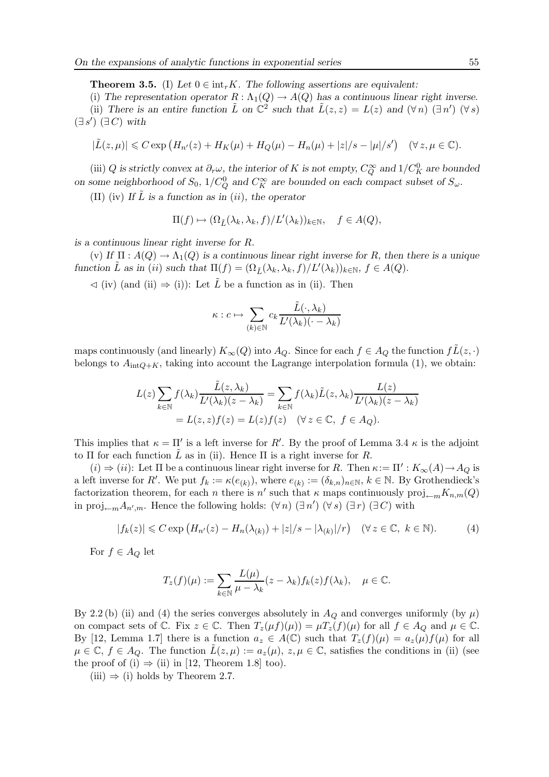**Theorem 3.5.** (I) Let  $0 \in \text{int}_r K$ . The following assertions are equivalent:

(i) The representation operator  $R : \Lambda_1(Q) \to A(Q)$  has a continuous linear right inverse. (ii) There is an entire function  $\tilde{L}$  on  $\mathbb{C}^2$  such that  $\tilde{L}(z, z) = L(z)$  and  $(\forall n) (\exists n') (\forall s)$  $(\exists s') (\exists C)$  with

$$
|\tilde{L}(z,\mu)| \leq C \exp (H_{n'}(z) + H_K(\mu) + H_Q(\mu) - H_n(\mu) + |z|/s - |\mu|/s') \quad (\forall z, \mu \in \mathbb{C}).
$$

(iii) Q is strictly convex at  $\partial_r \omega$ , the interior of K is not empty,  $C_Q^{\infty}$  and  $1/C_K^0$  are bounded on some neighborhood of  $S_0$ ,  $1/C_Q^0$  and  $C_K^{\infty}$  are bounded on each compact subset of  $S_{\omega}$ .

(II) (iv) If  $\tilde{L}$  is a function as in (ii), the operator

$$
\Pi(f) \mapsto (\Omega_{\tilde{L}}(\lambda_k, \lambda_k, f)/L'(\lambda_k))_{k \in \mathbb{N}}, \quad f \in A(Q),
$$

is a continuous linear right inverse for R.

(v) If  $\Pi : A(Q) \to \Lambda_1(Q)$  is a continuous linear right inverse for R, then there is a unique function  $\tilde{L}$  as in (ii) such that  $\Pi(f) = (\Omega_{\tilde{L}}(\lambda_k, \lambda_k, f)/L'(\lambda_k))_{k \in \mathbb{N}}, f \in A(Q)$ .

 $\langle \rangle$  (iv) (and (ii)  $\Rightarrow$  (i)): Let L be a function as in (ii). Then

$$
\kappa: c \mapsto \sum_{(k) \in \mathbb{N}} c_k \frac{\tilde{L}(\cdot, \lambda_k)}{L'(\lambda_k)(\cdot - \lambda_k)}
$$

maps continuously (and linearly)  $K_{\infty}(Q)$  into  $A_Q$ . Since for each  $f \in A_Q$  the function  $f\tilde{L}(z, \cdot)$ belongs to  $A_{intQ+K}$ , taking into account the Lagrange interpolation formula (1), we obtain:

$$
L(z) \sum_{k \in \mathbb{N}} f(\lambda_k) \frac{\tilde{L}(z, \lambda_k)}{L'(\lambda_k)(z - \lambda_k)} = \sum_{k \in \mathbb{N}} f(\lambda_k) \tilde{L}(z, \lambda_k) \frac{L(z)}{L'(\lambda_k)(z - \lambda_k)}
$$
  
=  $L(z, z) f(z) = L(z) f(z) \quad (\forall z \in \mathbb{C}, \ f \in A_Q).$ 

This implies that  $\kappa = \Pi'$  is a left inverse for R'. By the proof of Lemma 3.4  $\kappa$  is the adjoint to  $\Pi$  for each function L as in (ii). Hence  $\Pi$  is a right inverse for R.

 $(i) \Rightarrow (ii)$ : Let  $\Pi$  be a continuous linear right inverse for R. Then  $\kappa := \Pi' : K_\infty(A) \to A_Q$  is a left inverse for R'. We put  $f_k := \kappa(e_{(k)})$ , where  $e_{(k)} := (\delta_{k,n})_{n \in \mathbb{N}}$ ,  $k \in \mathbb{N}$ . By Grothendieck's factorization theorem, for each n there is n' such that  $\kappa$  maps continuously  $\text{proj}_{\leftarrow m} K_{n,m}(Q)$ in proj<sub>←m</sub> $A_{n',m}$ . Hence the following holds:  $(\forall n) (\exists n') (\forall s) (\exists r) (\exists C)$  with

$$
|f_k(z)| \leq C \exp\left(H_{n'}(z) - H_n(\lambda_{(k)}) + |z|/s - |\lambda_{(k)}|/r\right) \quad (\forall z \in \mathbb{C}, \ k \in \mathbb{N}).\tag{4}
$$

For  $f \in A_Q$  let

$$
T_z(f)(\mu) := \sum_{k \in \mathbb{N}} \frac{L(\mu)}{\mu - \lambda_k} (z - \lambda_k) f_k(z) f(\lambda_k), \quad \mu \in \mathbb{C}.
$$

By 2.2 (b) (ii) and (4) the series converges absolutely in  $A_Q$  and converges uniformly (by  $\mu$ ) on compact sets of  $\mathbb C$ . Fix  $z \in \mathbb C$ . Then  $T_z(\mu f)(\mu) = \mu T_z(f)(\mu)$  for all  $f \in A_Q$  and  $\mu \in \mathbb C$ . By [12, Lemma 1.7] there is a function  $a_z \in A(\mathbb{C})$  such that  $T_z(f)(\mu) = a_z(\mu)f(\mu)$  for all  $\mu \in \mathbb{C}, f \in A_0$ . The function  $\tilde{L}(z,\mu) := a_z(\mu), z, \mu \in \mathbb{C}$ , satisfies the conditions in (ii) (see the proof of (i)  $\Rightarrow$  (ii) in [12, Theorem 1.8] too).

(iii)  $\Rightarrow$  (i) holds by Theorem 2.7.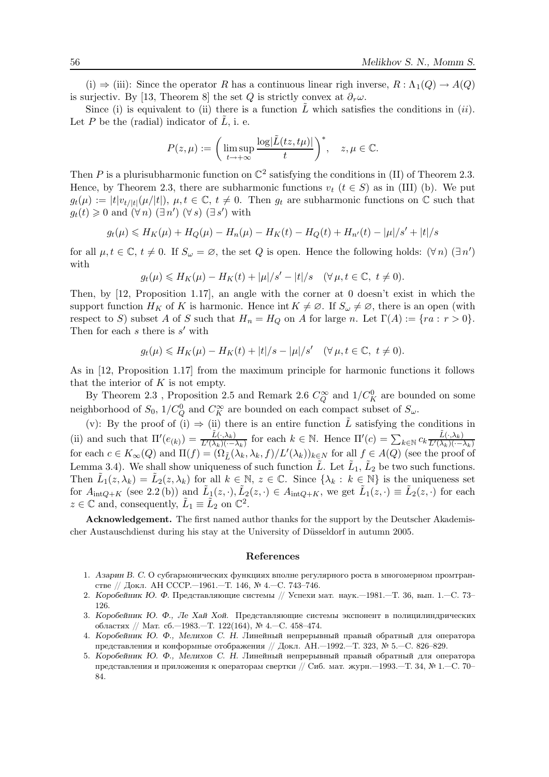(i)  $\Rightarrow$  (iii): Since the operator R has a continuous linear righ inverse,  $R : \Lambda_1(Q) \to A(Q)$ is surjectiv. By [13, Theorem 8] the set Q is strictly convex at  $\partial_r \omega$ .

Since (i) is equivalent to (ii) there is a function  $\tilde{L}$  which satisfies the conditions in (ii). Let  $P$  be the (radial) indicator of  $\overline{L}$ , i. e.

$$
P(z,\mu) := \left(\limsup_{t \to +\infty} \frac{\log |\tilde{L}(tz,t\mu)|}{t}\right)^*, \quad z, \mu \in \mathbb{C}.
$$

Then P is a plurisubharmonic function on  $\mathbb{C}^2$  satisfying the conditions in (II) of Theorem 2.3. Hence, by Theorem 2.3, there are subharmonic functions  $v_t$  ( $t \in S$ ) as in (III) (b). We put  $g_t(\mu) := |t|v_{t/|t|}(\mu/|t|), \mu, t \in \mathbb{C}, t \neq 0.$  Then  $g_t$  are subharmonic functions on  $\mathbb{C}$  such that  $g_t(t) \geq 0$  and  $(\forall n) (\exists n') (\forall s) (\exists s')$  with

$$
g_t(\mu) \leqslant H_K(\mu) + H_Q(\mu) - H_n(\mu) - H_K(t) - H_Q(t) + H_{n'}(t) - |\mu|/s' + |t|/s
$$

for all  $\mu, t \in \mathbb{C}, t \neq 0$ . If  $S_{\omega} = \emptyset$ , the set Q is open. Hence the following holds:  $(\forall n)$   $(\exists n')$ with

$$
g_t(\mu) \leq H_K(\mu) - H_K(t) + |\mu|/s' - |t|/s \quad (\forall \mu, t \in \mathbb{C}, t \neq 0).
$$

Then, by [12, Proposition 1.17], an angle with the corner at 0 doesn't exist in which the support function  $H_K$  of K is harmonic. Hence int  $K \neq \emptyset$ . If  $S_{\omega} \neq \emptyset$ , there is an open (with respect to S) subset A of S such that  $H_n = H_Q$  on A for large n. Let  $\Gamma(A) := \{ra : r > 0\}.$ Then for each  $s$  there is  $s'$  with

$$
g_t(\mu) \leq H_K(\mu) - H_K(t) + |t|/s - |\mu|/s' \quad (\forall \mu, t \in \mathbb{C}, t \neq 0).
$$

As in [12, Proposition 1.17] from the maximum principle for harmonic functions it follows that the interior of  $K$  is not empty.

By Theorem 2.3 , Proposition 2.5 and Remark 2.6  $C_Q^{\infty}$  and  $1/C_K^0$  are bounded on some neighborhood of  $S_0$ ,  $1/C_Q^0$  and  $C_K^{\infty}$  are bounded on each compact subset of  $S_{\omega}$ .

(v): By the proof of (i)  $\Rightarrow$  (ii) there is an entire function  $\tilde{L}$  satisfying the conditions in (ii) and such that  $\Pi'(e_{(k)}) = \frac{\tilde{L}(\cdot,\lambda_k)}{L'(\lambda_k)(\cdot-\cdot)}$  $\frac{\tilde{L}(\cdot,\lambda_k)}{L'(\lambda_k)(\cdot-\lambda_k)}$  for each  $k \in \mathbb{N}$ . Hence  $\Pi'(c) = \sum_{k \in \mathbb{N}} c_k \frac{\tilde{L}(\cdot,\lambda_k)}{L'(\lambda_k)(\cdot-\lambda_k)}$  $L'(\lambda_k)(\cdot-\lambda_k)$ for each  $c \in K_{\infty}(Q)$  and  $\Pi(f) = (\Omega_{\tilde{L}}(\lambda_k, \lambda_k, f)/L'(\lambda_k))_{k \in N}$  for all  $f \in A(Q)$  (see the proof of Lemma 3.4). We shall show uniqueness of such function  $\tilde{L}$ . Let  $\tilde{L}_1$ ,  $\tilde{L}_2$  be two such functions. Then  $\tilde{L}_1(z,\lambda_k) = \tilde{L}_2(z,\lambda_k)$  for all  $k \in \mathbb{N}$ ,  $z \in \mathbb{C}$ . Since  $\{\lambda_k : k \in \mathbb{N}\}\$ is the uniqueness set for  $A_{\text{intQ+K}}$  (see 2.2(b)) and  $\tilde{L}_1(z, \cdot), \tilde{L}_2(z, \cdot) \in A_{\text{intQ+K}}$ , we get  $\tilde{L}_1(z, \cdot) \equiv \tilde{L}_2(z, \cdot)$  for each  $z \in \mathbb{C}$  and, consequently,  $\tilde{L}_1 \equiv \tilde{L}_2$  on  $\mathbb{C}^2$ .

Acknowledgement. The first named author thanks for the support by the Deutscher Akademischer Austauschdienst during his stay at the University of Düsseldorf in autumn 2005.

### References

- 1. Азарин В. С. О субгармонических функциях вполне регулярного роста в многомерном промтранстве // Докл. АН СССР.—1961.—Т. 146, № 4.—С. 743–746.
- 2. Коробейник Ю. Ф. Представляющие системы // Успехи мат. наук.—1981.—Т. 36, вып. 1.—С. 73– 126.
- 3. Коробейник Ю. Ф., Ле Хай Хой. Представляющие системы экспонент в полицилиндрических областях // Мат. сб.—1983.—Т. 122(164), № 4.—С. 458–474.
- 4. Коробейник Ю. Ф., Мелихов С. Н. Линейный непрерывный правый обратный для оператора представления и конформные отображения // Докл. АН.—1992.—Т. 323, № 5.—С. 826–829.
- 5. Коробейник Ю. Ф., Мелихов С. Н. Линейный непрерывный правый обратный для оператора представления и приложения к операторам свертки // Сиб. мат. журн.—1993.—Т. 34, № 1.—С. 70– 84.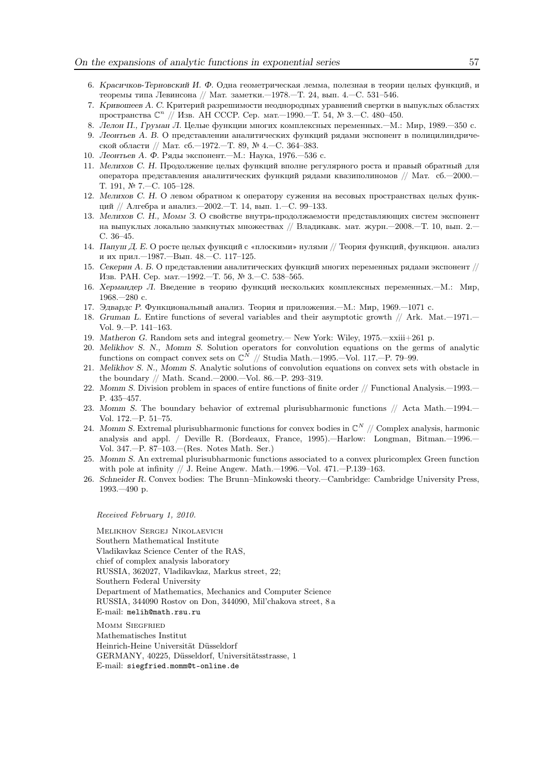- 6. Красичков-Терновский И. Ф. Одна геометрическая лемма, полезная в теории целых функций, и теоремы типа Левинсона // Мат. заметки.—1978.—Т. 24, вып. 4.—С. 531–546.
- 7. Кривошеев А. С. Критерий разрешимости неоднородных уравнений свертки в выпуклых областях пространства  $\mathbb{C}^n$  // Изв. АН СССР. Сер. мат.−1990.−Т. 54, № 3.−С. 480-450.
- 8. Лелон П., Груман Л. Целые функции многих комплексных переменных.—М.: Мир, 1989.—350 с.
- 9. Леонтьев А. В. О представлении аналитических функций рядами экспонент в полицилиндрической области // Мат. сб.—1972.—Т. 89, № 4.—С. 364–383.
- 10. Леонтьев А. Ф. Ряды экспонент.—М.: Наука, 1976.—536 с.
- 11. Мелихов С. Н. Продолжение целых функций вполне регулярного роста и правый обратный для оператора представления аналитических функций рядами квазиполиномов // Мат. сб.—2000.— Т. 191, № 7.—С. 105–128.
- 12. Мелихов С. Н. О левом обратном к оператору сужения на весовых пространствах целых функций // Алгебра и анализ.—2002.—Т. 14, вып. 1.—С. 99–133.
- 13. Мелихов С. Н., Момм З. О свойстве внутрь-продолжаемости представляющих систем экспонент на выпуклых локально замкнутых множествах // Владикавк. мат. журн. - 2008. - Т. 10, вып. 2. С. 36–45.
- 14. Папуш Д. Е. О росте целых функций с «плоскими» нулями // Теория функций, функцион. анализ и их прил.—1987.—Вып. 48.—С. 117–125.
- 15. Секерин А. Б. О представлении аналитических функций многих переменных рядами экспонент // Изв. РАН. Сер. мат.—1992.—Т. 56, № 3.—С. 538–565.
- 16. Хермандер Л. Введение в теорию функций нескольких комплексных переменных.—М.: Мир, 1968.—280 с.
- 17. Эдвардс Р. Функциональный анализ. Теория и приложения.—М.: Мир, 1969.—1071 с.
- 18. Gruman L. Entire functions of several variables and their asymptotic growth // Ark. Mat.—1971.— Vol. 9.—P. 141–163.
- 19. Matheron G. Random sets and integral geometry.— New York: Wiley, 1975.—xxiii+261 p.
- 20. Melikhov S. N., Momm S. Solution operators for convolution equations on the germs of analytic functions on compact convex sets on  $\mathbb{C}^N$  // Studia Math.—1995.—Vol. 117.—P. 79–99.
- 21. Melikhov S. N., Momm S. Analytic solutions of convolution equations on convex sets with obstacle in the boundary // Math. Scand.—2000.—Vol. 86.—P. 293–319.
- 22. Momm S. Division problem in spaces of entire functions of finite order // Functional Analysis.—1993.— P. 435–457.
- 23. Momm S. The boundary behavior of extremal plurisubharmonic functions // Acta Math.—1994.— Vol. 172.—P. 51–75.
- 24. Momm S. Extremal plurisubharmonic functions for convex bodies in  $\mathbb{C}^N$  // Complex analysis, harmonic analysis and appl. / Deville R. (Bordeaux, France, 1995).—Harlow: Longman, Bitman.—1996.— Vol. 347.—P. 87–103.—(Res. Notes Math. Ser.)
- 25. Momm S. An extremal plurisubharmonic functions associated to a convex pluricomplex Green function with pole at infinity // J. Reine Angew. Math.—1996.—Vol. 471.—P.139–163.
- 26. Schneider R. Convex bodies: The Brunn–Minkowski theory.—Cambridge: Cambridge University Press, 1993.—490 p.

Received February 1, 2010.

Melikhov Sergej Nikolaevich Southern Mathematical Institute Vladikavkaz Science Center of the RAS, chief of complex analysis laboratory RUSSIA, 362027, Vladikavkaz, Markus street, 22; Southern Federal University Department of Mathematics, Mechanics and Computer Science RUSSIA, 344090 Rostov on Don, 344090, Mil'chakova street, 8 a E-mail: melih@math.rsu.ru

MOMM SIEGFRIED Mathematisches Institut Heinrich-Heine Universität Düsseldorf GERMANY, 40225, Düsseldorf, Universitätsstrasse, 1 E-mail: siegfried.momm@t-online.de